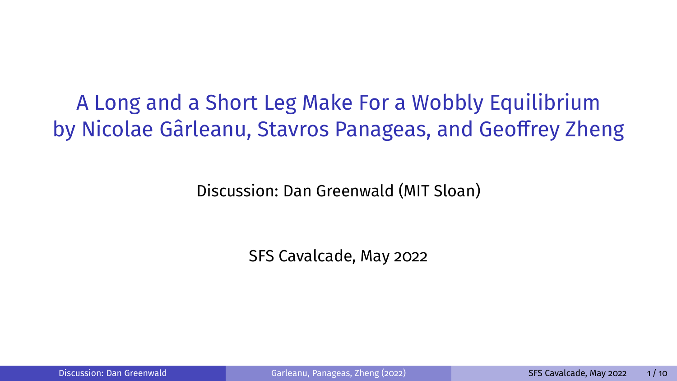<span id="page-0-0"></span>A Long and a Short Leg Make For a Wobbly Equilibrium by Nicolae Gârleanu, Stavros Panageas, and Geoffrey Zheng

Discussion: Dan Greenwald (MIT Sloan)

SFS Cavalcade, May 2022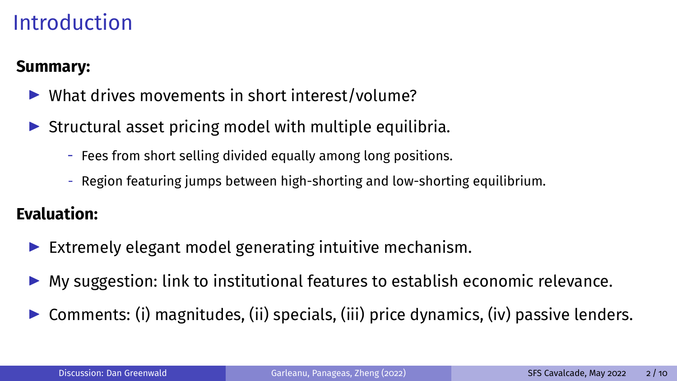## **Introduction**

#### **Summary:**

- $\blacktriangleright$  What drives movements in short interest/volume?
- $\triangleright$  Structural asset pricing model with multiple equilibria.
	- Fees from short selling divided equally among long positions.
	- Region featuring jumps between high-shorting and low-shorting equilibrium.

#### **Evaluation:**

- Extremely elegant model generating intuitive mechanism.
- $\blacktriangleright$  My suggestion: link to institutional features to establish economic relevance.
- Comments: (i) magnitudes, (ii) specials, (iii) price dynamics, (iv) passive lenders.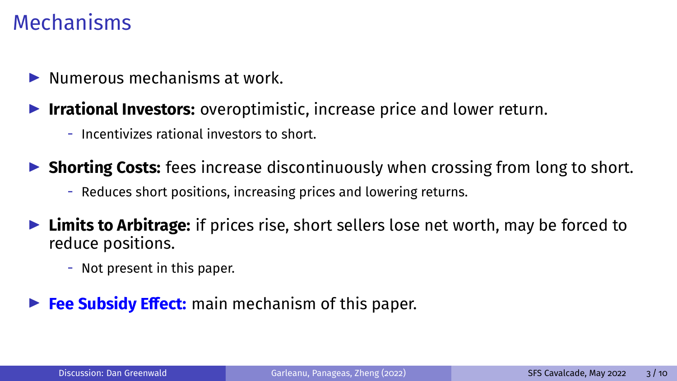#### Mechanisms

- $\blacktriangleright$  Numerous mechanisms at work.
- **Irrational Investors:** overoptimistic, increase price and lower return.
	- Incentivizes rational investors to short.

**In Shorting Costs:** fees increase discontinuously when crossing from long to short.

- Reduces short positions, increasing prices and lowering returns.
- **Limits to Arbitrage:** if prices rise, short sellers lose net worth, may be forced to reduce positions.
	- Not present in this paper.
- **Fee Subsidy Effect:** main mechanism of this paper.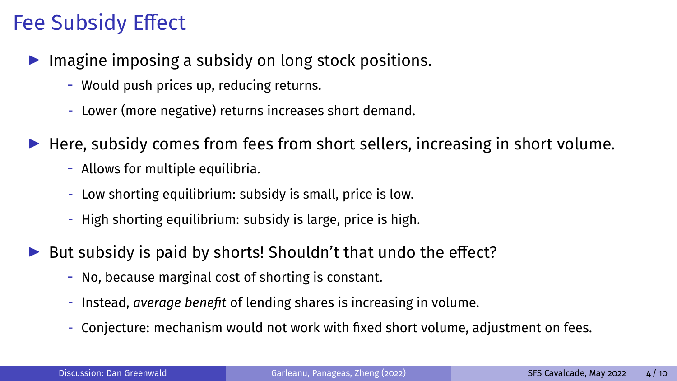# **Fee Subsidy Effect**

- $\blacktriangleright$  Imagine imposing a subsidy on long stock positions.
	- Would push prices up, reducing returns.
	- Lower (more negative) returns increases short demand.
- $\blacktriangleright$  Here, subsidy comes from fees from short sellers, increasing in short volume.
	- Allows for multiple equilibria.
	- Low shorting equilibrium: subsidy is small, price is low.
	- High shorting equilibrium: subsidy is large, price is high.
- $\triangleright$  But subsidy is paid by shorts! Shouldn't that undo the effect?
	- No, because marginal cost of shorting is constant.
	- Instead, *average benefit* of lending shares is increasing in volume.
	- Conjecture: mechanism would not work with fixed short volume, adjustment on fees.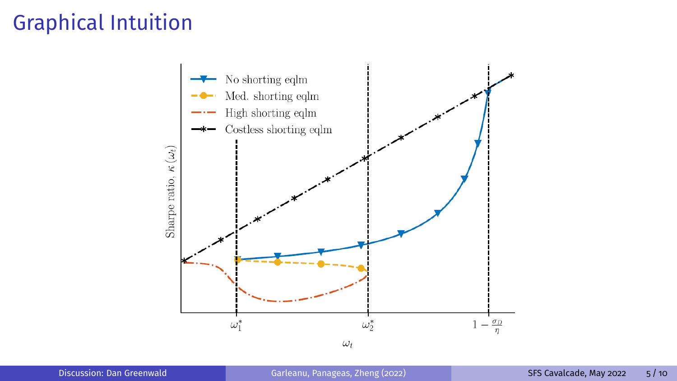## Graphical Intuition

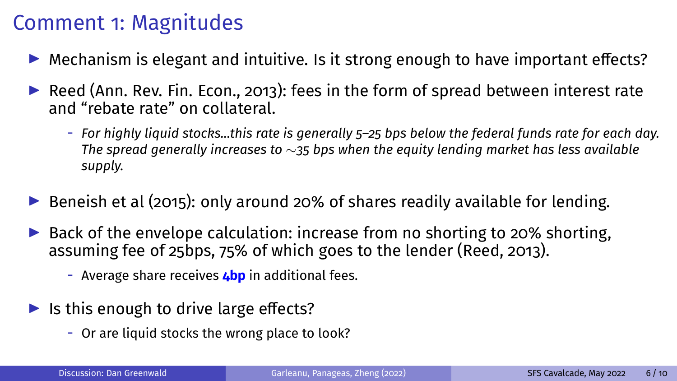## Comment 1: Magnitudes

- $\triangleright$  Mechanism is elegant and intuitive. Is it strong enough to have important effects?
- $\triangleright$  Reed (Ann. Rev. Fin. Econ., 2013): fees in the form of spread between interest rate and "rebate rate" on collateral.
	- *For highly liquid stocks...this rate is generally 5–25 bps below the federal funds rate for each day. The spread generally increases to* ∼*35 bps when the equity lending market has less available supply.*
- $\triangleright$  Beneish et al (2015): only around 20% of shares readily available for lending.
- $\triangleright$  Back of the envelope calculation: increase from no shorting to 20% shorting, assuming fee of 25bps, 75% of which goes to the lender (Reed, 2013).
	- Average share receives **4bp** in additional fees.
- $\blacktriangleright$  Is this enough to drive large effects?
	- Or are liquid stocks the wrong place to look?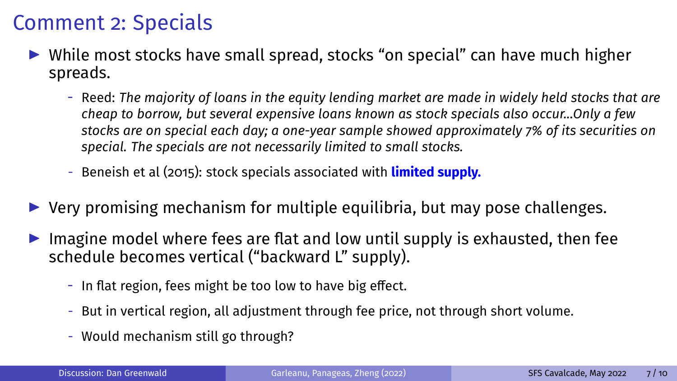## Comment 2: Specials

- $\triangleright$  While most stocks have small spread, stocks "on special" can have much higher spreads.
	- Reed: *The majority of loans in the equity lending market are made in widely held stocks that are cheap to borrow, but several expensive loans known as stock specials also occur...Only a few stocks are on special each day; a one-year sample showed approximately 7% of its securities on special. The specials are not necessarily limited to small stocks.*
	- Beneish et al (2015): stock specials associated with **limited supply.**
- $\triangleright$  Very promising mechanism for multiple equilibria, but may pose challenges.
- Imagine model where fees are flat and low until supply is exhausted, then fee schedule becomes vertical ("backward L" supply).
	- In flat region, fees might be too low to have big effect.
	- But in vertical region, all adjustment through fee price, not through short volume.
	- Would mechanism still go through?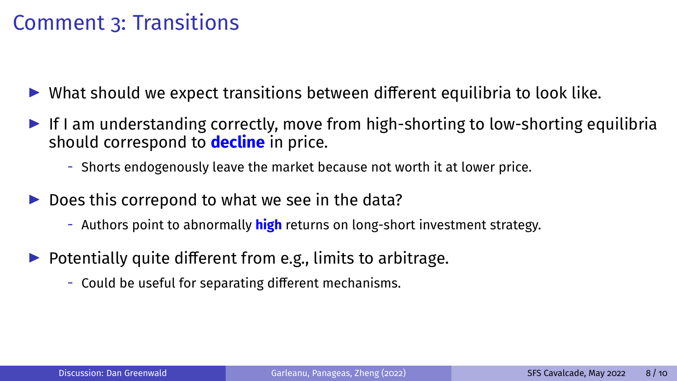#### Comment 3: Transitions

- $\triangleright$  What should we expect transitions between different equilibria to look like.
- If I am understanding correctly, move from high-shorting to low-shorting equilibria should correspond to **decline** in price.
	- Shorts endogenously leave the market because not worth it at lower price.
- $\triangleright$  Does this correpond to what we see in the data?
	- Authors point to abnormally **high** returns on long-short investment strategy.
- $\triangleright$  Potentially quite different from e.g., limits to arbitrage.
	- Could be useful for separating different mechanisms.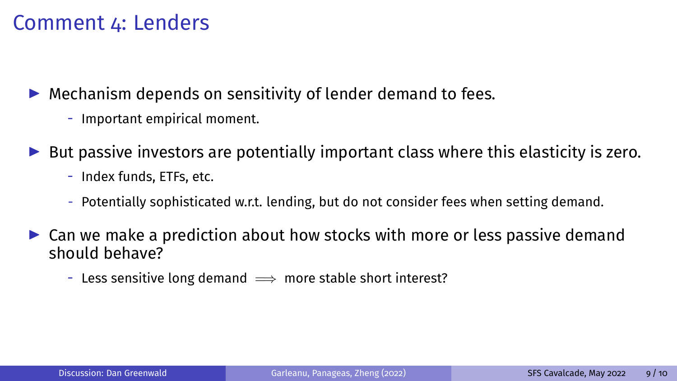#### Comment 4: Lenders

 $\blacktriangleright$  Mechanism depends on sensitivity of lender demand to fees.

- Important empirical moment.
- $\triangleright$  But passive investors are potentially important class where this elasticity is zero.
	- Index funds, ETFs, etc.
	- Potentially sophisticated w.r.t. lending, but do not consider fees when setting demand.
- $\triangleright$  Can we make a prediction about how stocks with more or less passive demand should behave?
	- Less sensitive long demand  $\implies$  more stable short interest?